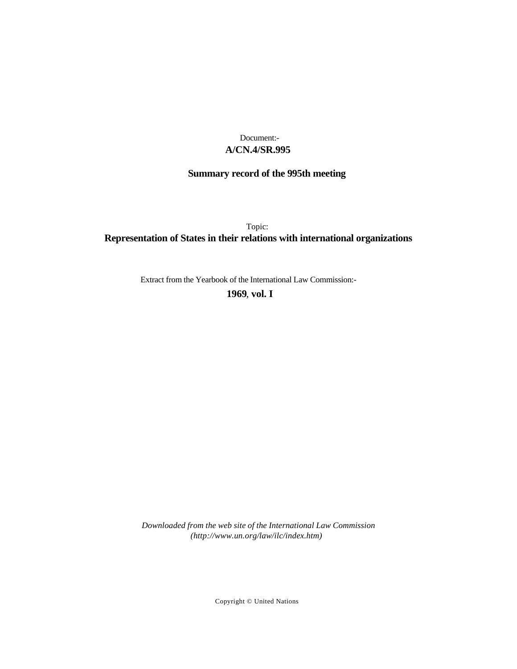# **A/CN.4/SR.995** Document:-

# **Summary record of the 995th meeting**

Topic: **Representation of States in their relations with international organizations**

Extract from the Yearbook of the International Law Commission:-

**1969** , **vol. I**

*Downloaded from the web site of the International Law Commission (http://www.un.org/law/ilc/index.htm)*

Copyright © United Nations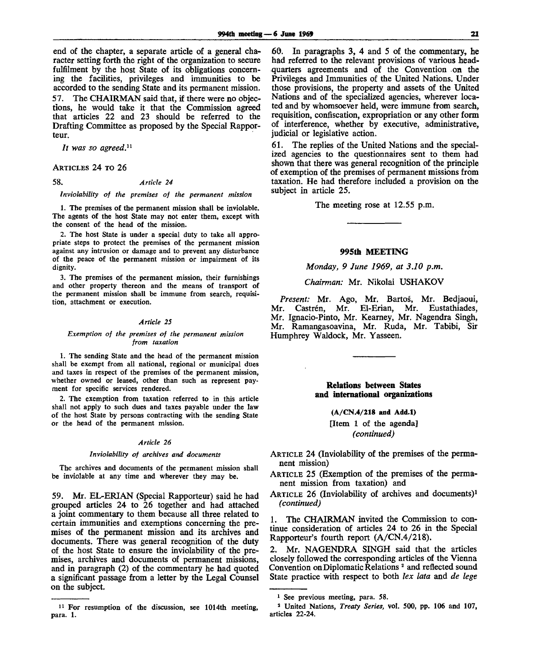end of the chapter, a separate article of a general character setting forth the right of the organization to secure fulfilment by the host State of its obligations concerning the facilities, privileges and immunities to be accorded to the sending State and its permanent mission. 57. The CHAIRMAN said that, if there were no objections, he would take it that the Commission agreed that articles 22 and 23 should be referred to the Drafting Committee as proposed by the Special Rapporteur.

*It was so agreed.<sup>11</sup>*

## ARTICLES 24 TO 26

58. *Article 24*

*Inviolability of the premises of the permanent mission*

*1.* The premises of the permanent mission shall be inviolable. The agents of the host State may not enter them, except with the consent of the head of the mission.

2. The host State is under a special duty to take all appropriate steps to protect the premises of the permanent mission against any intrusion or damage and to prevent any disturbance of the peace of the permanent mission or impairment of its dignity.

3. The premises of the permanent mission, their furnishings and other property thereon and the means of transport of the permanent mission shall be immune from search, requisition, attachment or execution.

## *Article 25*

### *Exemption of the premises of the permanent mission from taxation*

1. The sending State and the head of the permanent mission shall be exempt from all national, regional or municipal dues and taxes in respect of the premises of the permanent mission, whether owned or leased, other than such as represent payment for specific services rendered.

2. The exemption from taxation referred to in this article shall not apply to such dues and taxes payable under the law of the host State by persons contracting with the sending State or the head of the permanent mission.

## *Article 26*

#### *Inviolability of archives and documents*

The archives and documents of the permanent mission shall be inviolable at any time and wherever they may be.

59. Mr. EL-ERIAN (Special Rapporteur) said he had grouped articles 24 to 26 together and had attached a joint commentary to them because all three related to certain immunities and exemptions concerning the premises of the permanent mission and its archives and documents. There was general recognition of the duty of the host State to ensure the inviolability of the premises, archives and documents of permanent missions, and in paragraph (2) of the commentary he had quoted a significant passage from a letter by the Legal Counsel on the subject.

60. In paragraphs 3, 4 and 5 of the commentary, he had referred to the relevant provisions of various headquarters agreements and of the Convention on the Privileges and Immunities of the United Nations. Under those provisions, the property and assets of the United Nations and of the specialized agencies, wherever located and by whomsoever held, were immune from search, requisition, confiscation, expropriation or any other form of interference, whether by executive, administrative, judicial or legislative action.

61. The replies of the United Nations and the specialized agencies to the questionnaires sent to them had shown that there was general recognition of the principle of exemption of the premises of permanent missions from taxation. He had therefore included a provision on the subject in article 25.

The meeting rose at 12.55 p.m.

## **995th MEETING**

## *Monday, 9 June 1969, at 3.10 p.m.*

*Chairman:* Mr. Nikolai USHAKOV

*Present:* Mr. Ago, Mr. Bartos, Mr. Bedjaoui, Mr. Castrén, Mr. El-Erian, Mr. Eustathiades, Mr. Ignacio-Pinto, Mr. Kearney, Mr. Nagendra Singh, Mr. Ramangasoavina, Mr. Ruda, Mr. Tabibi, Sir Humphrey Waldock, Mr. Yasseen.

> **Relations between States and international organizations**

> > **(A/CN.4/218 and Add.l)** [Item 1 of the agenda] *(continued)*

ARTICLE 24 (Inviolability of the premises of the permanent mission)

- ARTICLE 25 (Exemption of the premises of the permanent mission from taxation) and
- ARTICLE 26 (Inviolability of archives and documents)<sup>1</sup> *(continued)*

1. The CHAIRMAN invited the Commission to continue consideration of articles 24 to 26 in the Special Rapporteur's fourth report (A/CN.4/218).

2. Mr. NAGENDRA SINGH said that the articles closely followed the corresponding articles of the Vienna Convention on Diplomatic Relations <sup>2</sup> and reflected sound State practice with respect to both *lex lata* and *de lege*

<sup>&</sup>lt;sup>11</sup> For resumption of the discussion, see 1014th meeting, para. 1.

<sup>&</sup>lt;sup>1</sup> See previous meeting, para. 58.

<sup>2</sup> United Nations, *Treaty Series,* vol. 500, pp. 106 and 107, articles 22-24.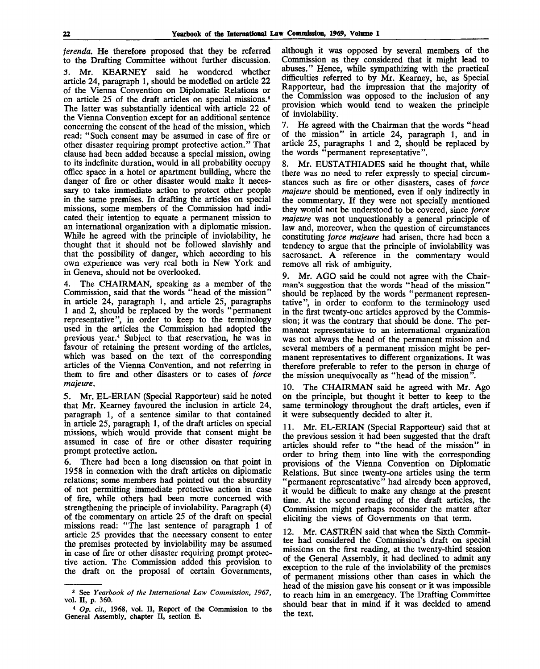*ferenda.* He therefore proposed that they be referred to the Drafting Committee without further discussion.

3. Mr. KEARNEY said he wondered whether article 24, paragraph 1, should be modelled on article 22 of the Vienna Convention on Diplomatic Relations or on article 25 of the draft articles on special missions.<sup>3</sup> The latter was substantially identical with article 22 of the Vienna Convention except for an additional sentence concerning the consent of the head of the mission, which read: "Such consent may be assumed in case of fire or other disaster requiring prompt protective action." That clause had been added because a special mission, owing to its indefinite duration, would in all probability occupy office space in a hotel or apartment building, where the danger of fire or other disaster would make it necessary to take immediate action to protect other people in the same premises. In drafting the articles on special missions, some members of the Commission had indicated their intention to equate a permanent mission to an international organization with a diplomatic mission. While he agreed with the principle of inviolability, he thought that it should not be followed slavishly and that the possibility of danger, which according to his own experience was very real both in New York and in Geneva, should not be overlooked.

4. The CHAIRMAN, speaking as a member of the Commission, said that the words "head of the mission" in article 24, paragraph 1, and article 25, paragraphs 1 and 2, should be replaced by the words "permanent representative", in order to keep to the terminology used in the articles the Commission had adopted the previous year.<sup>4</sup> Subject to that reservation, he was in favour of retaining the present wording of the articles, which was based on the text of the corresponding articles of the Vienna Convention, and not referring in them to fire and other disasters or to cases of *force majeure.*

5. Mr. EL-ERIAN (Special Rapporteur) said he noted that Mr. Kearney favoured the inclusion in article 24, paragraph 1, of a sentence similar to that contained in article 25, paragraph 1, of the draft articles on special missions, which would provide that consent might be assumed in case of fire or other disaster requiring prompt protective action.

6. There had been a long discussion on that point in 1958 in connexion with the draft articles on diplomatic relations; some members had pointed out the absurdity of not permitting immediate protective action in case of fire, while others had been more concerned with strengthening the principle of inviolability. Paragraph (4) of the commentary on article 25 of the draft on special missions read: "The last sentence of paragraph 1 of article 25 provides that the necessary consent to enter the premises protected by inviolability may be assumed in case of fire or other disaster requiring prompt protective action. The Commission added this provision to the draft on the proposal of certain Governments,

although it was opposed by several members of the Commission as they considered that it might lead to abuses." Hence, while sympathizing with the practical difficulties referred to by Mr. Kearney, he, as Special Rapporteur, had the impression that the majority of the Commission was opposed to the inclusion of any provision which would tend to weaken the principle of inviolability.

7. He agreed with the Chairman that the words "head of the mission" in article 24, paragraph 1, and in article 25, paragraphs 1 and 2, should be replaced by the words "permanent representative".

8. Mr. EUSTATHIADES said he thought that, while there was no need to refer expressly to special circumstances such as fire or other disasters, cases of *force majeure* should be mentioned, even if only indirectly in the commentary. If they were not specially mentioned they would not be understood to be covered, since *force majeure* was not unquestionably a general principle of law and, moreover, when the question of circumstances constituting *force majeure* had arisen, there had been a tendency to argue that the principle of inviolability was sacrosanct. A reference in the commentary would remove all risk of ambiguity.

9. Mr. AGO said he could not agree with the Chairman's suggestion that the words "head of the mission" should be replaced by the words "permanent representative", in order to conform to the terminology used in the first twenty-one articles approved by the Commission; it was the contrary that should be done. The permanent representative to an international organization was not always the head of the permanent mission and several members of a permanent mission might be permanent representatives to different organizations. It was therefore preferable to refer to the person in charge of the mission unequivocally as "head of the mission".

10. The CHAIRMAN said he agreed with Mr. Ago on the principle, but thought it better to keep to the same terminology throughout the draft articles, even if it were subsequently decided to alter it.

11. Mr. EL-ERIAN (Special Rapporteur) said that at the previous session it had been suggested that the draft articles should refer to "the head of the mission" in order to bring them into line with the corresponding provisions of the Vienna Convention on Diplomatic Relations. But since twenty-one articles using the term "permanent representative" had already been approved, it would be difficult to make any change at the present time. At the second reading of the draft articles, the Commission might perhaps reconsider the matter after eliciting the views of Governments on that term.

12. Mr. CASTRÉN said that when the Sixth Committee had considered the Commission's draft on special missions on the first reading, at the twenty-third session of the General Assembly, it had declined to admit any exception to the rule of the inviolability of the premises of permanent missions other than cases in which the head of the mission gave his consent or it was impossible to reach him in an emergency. The Drafting Committee should bear that in mind if it was decided to amend the text.

<sup>3</sup> See *Yearbook of the International Law Commission, 1967,* vol. II, p. 360.

<sup>4</sup>  *Op. cit.,* 1968, vol. II, Report of the Commission to the General Assembly, chapter II, section E.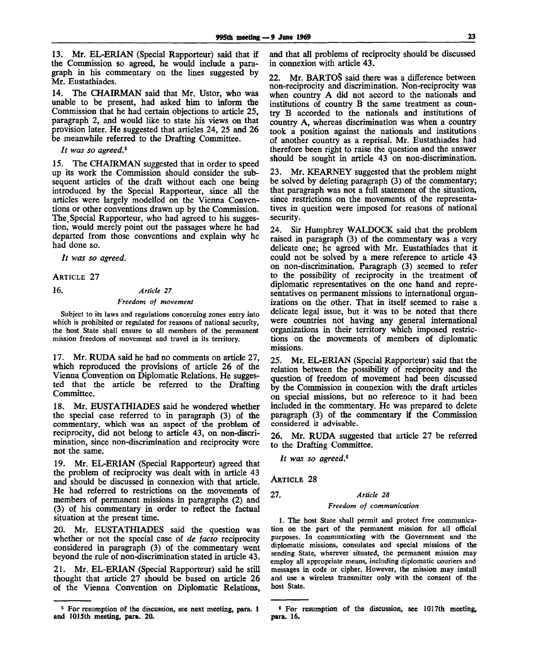13. Mr. EL-ERIAN (Special Rapporteur) said that if the Commission so agreed, he would include a paragraph in his commentary on the lines suggested by Mr. Eustathiades.

14. The CHAIRMAN said that Mr. Ustor, who was unable to be present, had asked him to inform the Commission that he had certain objections to article 25, paragraph 2, and would like to state his views on that provision later. He suggested that articles 24, 25 and 26 be meanwhile referred to the Drafting Committee.

// *was so agreed.<sup>6</sup>*

15. The CHAIRMAN suggested that in order to speed up its work the Commission should consider the subsequent articles of the draft without each one being introduced by the Special Rapporteur, since all the articles were largely modelled on the Vienna Conventions or other conventions drawn up by the Commission. The.Special Rapporteur, who had agreed to his suggestion, would merely point out the passages where he had departed from those conventions and explain why he had done so.

// *was so agreed.*

ARTICLE 27

16. *Article 27*

# *Freedom of movement*

Subject to its laws and regulations concerning zones entry into which is prohibited or regulated for reasons of national security, the host State shall ensure to all members of the permanent mission freedom of movement and travel in its territory.

17. Mr. RUDA said he had no comments on article 27, which reproduced the provisions of article 26 of the Vienna Convention on Diplomatic Relations. He suggested that the article be referred to the Drafting Committee.

18. Mr. EUSTATHIADES said he wondered whether the special case referred to in paragraph (3) of the commentary, which was an aspect of the problem of reciprocity, did not belong to article 43, on non-discrimination, since non-discrimination and reciprocity were not the same.

19. Mr. EL-ERIAN (Special Rapporteur) agreed that the problem of reciprocity was dealt with in article 43 and should be discussed in connexion with that article. He had referred to restrictions on the movements of members of permanent missions in paragraphs (2) and (3) of his commentary in order to reflect the factual situation at the present time.

20. Mr. EUSTATHIADES said the question was whether or not the special case of *de facto* reciprocity considered in paragraph (3) of the commentary went beyond the rule of non-discrimination stated in article 43.

21. Mr. EL-ERIAN (Special Rapporteur) said he still thought that article 27 should be based on article 26 of the Vienna Convention on Diplomatic Relations, and that all problems of reciprocity should be discussed in connexion with article 43.

22. Mr. BARTOS said there was a difference between non-reciprocity and discrimination. Non-reciprocity was when country A did not accord to the nationals and institutions of country B the same treatment as country B accorded to the nationals and institutions of country A, whereas discrimination was when a country took a position against the nationals and institutions of another country as a reprisal. Mr. Eustathiades had therefore been right to raise the question and the answer should be sought in article 43 on non-discrimination.

23. Mr. KEARNEY suggested that the problem might be solved by deleting paragraph (3) of the commentary; that paragraph was not a full statement of the situation, since restrictions on the movements of the representatives in question were imposed for reasons of national security.

24. Sir Humphrey WALDOCK said that the problem raised in paragraph (3) of the commentary was a very delicate one; he agreed with Mr. Eustathiades that it could not be solved by a mere reference to article 43 on non-discrimination. Paragraph (3) seemed to refer to the possibility of reciprocity in the treatment of diplomatic representatives on the one hand and representatives on permanent missions to international organizations on the other. That in itself seemed to raise a delicate legal issue, but it was to be noted that there were countries not having any general international organizations in their territory which imposed restrictions on the movements of members of diplomatic missions.

25. Mr. EL-ERIAN (Special Rapporteur) said that the relation between the possibility of reciprocity and the question of freedom of movement had been discussed by the Commission in connexion with the draft articles on special missions, but no reference to it had been included in the commentary. He was prepared to delete paragraph (3) of the commentary if the Commission considered it advisable.

26. Mr. RUDA suggested that article 27 be referred to the Drafting Committee.

*It was so agreed.<sup>8</sup>*

ARTICLE 28

# 27. *Article 28*

#### *Freedom of communication*

1. The host State shall permit and protect free communication on the part of the permanent mission for all official purposes. In communicating with the Government and the diplomatic missions, consulates and special missions of the sending State, wherever situated, the permanent mission may employ all appropriate means, including diplomatic couriers and messages in code or cipher. However, the mission may install and use a wireless transmitter only with the consent of the host State.

<sup>5</sup> For resumption of **the** discussion, see **next meeting, para. 1**<sup>6</sup> For **resumption of the** discussion, see **1017th** meeting, **and 1015th meeting, para. 20. para. 16.**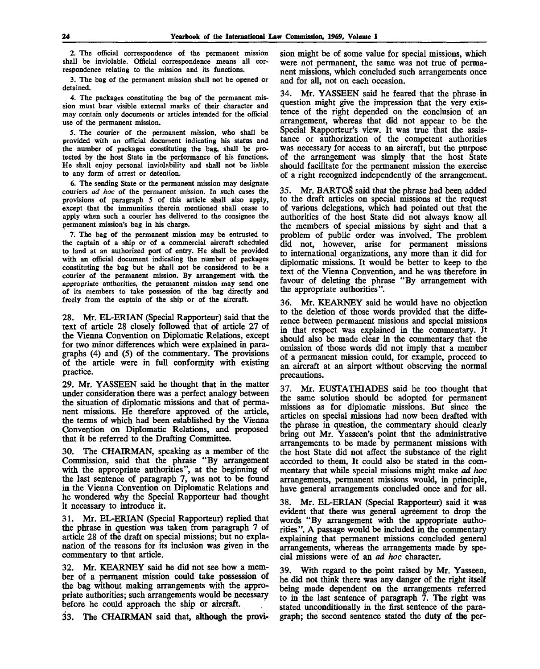2. The official correspondence of the permanent mission shall be inviolable. Official correspondence means all correspondence relating to the mission and its functions.

3. The bag of the permanent mission shall not be opened or detained.

4. The packages constituting the bag of the permanent mission must bear visible external marks of their character and may contain only documents or articles intended for the official use of the permanent mission..

5. The courier of the permanent mission, who shall be provided with an official document indicating his status and the number of packages constituting the bag, shall be protected by the host State in the performance of his functions. He shall enjoy personal inviolability and shall not be liable to any form of arrest or detention.

6. The sending State or the permanent mission may designate couriers *ad hoc* of the permanent mission. In such cases the provisions of paragraph 5 of this article shall also apply, except that the immunities therein mentioned shall cease to apply when such a courier has delivered to the consignee the permanent mission's bag in his charge.

7. The bag of the permanent mission may be entrusted to the captain of a ship or of a commercial aircraft scheduled to land at an authorized port of entry. He shall be provided with an official document indicating the number of packages constituting the bag but he shall not be considered to be a courier of the permanent mission. By arrangement with the appropriate authorities, the permanent mission may send one of its members to take possession of the bag directly and freely from the captain of the ship or of the aircraft.

28. Mr. EL-ERIAN (Special Rapporteur) said that the text of article 28 closely followed that of article 27 of the Vienna Convention on Diplomatic Relations, except for two minor differences which were explained in paragraphs (4) and (5) of the commentary. The provisions of the article were in full conformity with existing practice.

29. Mr. YASSEEN said he thought that in the matter under consideration there was a perfect analogy between the situation of diplomatic missions and that of permanent missions. He therefore approved of the article, the terms of which had been established by the Vienna Convention on Diplomatic Relations, and proposed that it be referred to the Drafting Committee.

30. The CHAIRMAN, speaking as a member of the Commission, said that the phrase "By arrangement with the appropriate authorities", at the beginning of the last sentence of paragraph 7, was not to be found in the Vienna Convention on Diplomatic Relations and he wondered why the Special Rapporteur had thought it necessary to introduce it.

31. Mr. EL-ERIAN (Special Rapporteur) replied that the phrase in question was taken from paragraph 7 of article 28 of the draft on special missions; but no explanation of the reasons for its inclusion was given in the commentary to that article.

32. Mr. KEARNEY said he did not see how a member of a permanent mission could take possession of the bag without making arrangements with the appropriate authorities; such arrangements would be necessary before he could approach the ship or aircraft.

33. The CHAIRMAN said that, although the provi-

sion might be of some value for special missions, which were not permanent, the same was not true of permanent missions, which concluded such arrangements once and for all, not on each occasion.

34. Mr. YASSEEN said he feared that the phrase in question might give the impression that the very existence of the right depended on the conclusion of an arrangement, whereas that did not appear to be the Special Rapporteur's view. It was true that the assistance or authorization of the competent authorities was necessary for access to an aircraft, but the purpose of the arrangement was simply that the host State should facilitate for the permanent mission the exercise of a right recognized independently of the arrangement.

35. Mr. BARTOS said that the phrase had been added to the draft articles on special missions at the request of various delegations, which had pointed out that the authorities of the host State did not always know all the members of special missions by sight and that a problem of public order was involved. The problem did not, however, arise for permanent missions to international organizations, any more than it did for diplomatic missions. It would be better to keep to the text of the Vienna Convention, and he was therefore in favour of deleting the phrase "By arrangement with the appropriate authorities".

36. Mr. KEARNEY said he would have no objection to the deletion of those words provided that the difference between permanent missions and special missions in that respect was explained in the commentary. It should also be made clear in the commentary that the omission of those words did not imply that a member of a permanent mission could, for example, proceed to an aircraft at an airport without observing the normal precautions.

37. Mr. EUSTATHIADES said he too thought that the same solution should be adopted for permanent missions as for diplomatic missions. But since the articles on special missions had now been drafted with the phrase in question, the commentary should clearly bring out Mr. Yasseen's point that the administrative arrangements to be made by permanent missions with the host State did not affect the substance of the right accorded to them. It could also be stated in the commentary that while special missions might make *ad hoc* arrangements, permanent missions would, in principle, have general arrangements concluded once and for all.

38. Mr. EL-ERIAN (Special Rapporteur) said it was evident that there was general agreement to drop the words "By arrangement with the appropriate authorities". A passage would be included in the commentary explaining that permanent missions concluded general arrangements, whereas the arrangements made by special missions were of an *ad hoc* character.

With regard to the point raised by Mr. Yasseen, he did not think there was any danger of the right itself being made dependent on the arrangements referred to in the last sentence of paragraph  $\overline{7}$ . The right was stated unconditionally in the first sentence of the paragraph; the second sentence stated the duty of the per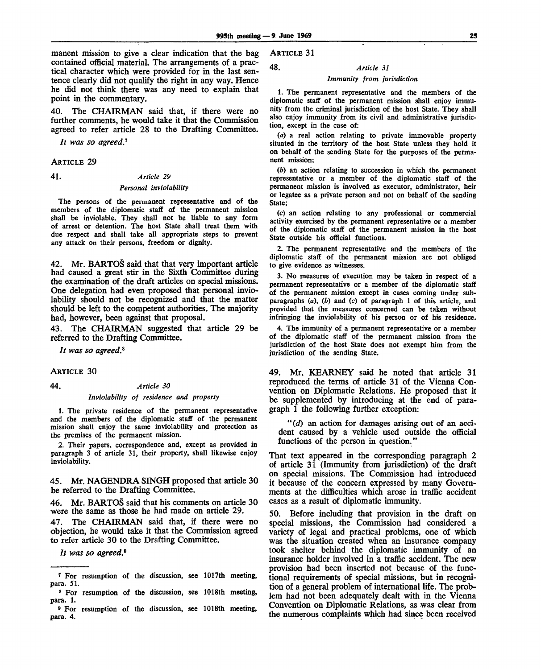manent mission to give a clear indication that the bag contained official material. The arrangements of a practical character which were provided for in the last sentence clearly did not qualify the right in any way. Hence he did not think there was any need to explain that point in the commentary.

40. The CHAIRMAN said that, if there were no further comments, he would take it that the Commission agreed to refer article 28 to the Drafting Committee.

*It was so agreed.<sup>1</sup>*

ARTICLE 29

41. *Article 29*

## *Personal inviolability*

The persons of the permanent representative and of the members of the diplomatic staff of the permanent mission shall be inviolable. They shall not be liable to any form of arrest or detention. The host State shall treat them with due respect and shall take all appropriate steps to prevent any attack on their persons, freedom or dignity.

42. Mr. BARTOS said that that very important article had caused a great stir in the Sixth Committee during the examination of the draft articles on special missions. One delegation had even proposed that personal inviolability should not be recognized and that the matter should be left to the competent authorities. The majority had, however, been against that proposal.

43. The CHAIRMAN suggested that article 29 be referred to the Drafting Committee.

// *was so agreed.<sup>8</sup>*

**ARTICLE 30** 

# 44. *Article 30 Inviolability of residence and property*

1. The private residence of the permanent representative and the members of the diplomatic staff of the permanent mission shall enjoy the same inviolability and protection as the premises of the permanent mission.

2. Their papers, correspondence and, except as provided in paragraph 3 of article 31, their property, shall likewise enjoy inviolability.

45. Mr. NAGENDRA SINGH proposed that article 30 be referred to the Drafting Committee.

46. Mr. BARTOS said that his comments on article 30 were the same as those he had made on article 29.

The CHAIRMAN said that, if there were no objection, he would take it that the Commission agreed to refer article 30 to the Drafting Committee.

// *was so agreed.<sup>9</sup>*

ARTICLE 31

# 48. *Article 31*

# *Immunity from jurisdiction*

1. The permanent representative and the members of the diplomatic staff of the permanent mission shall enjoy immunity from the criminal jurisdiction of the host State. They shall also enjoy immunity from its civil and administrative jurisdiction, except in the case of:

*(a)* a real action relating to private immovable property situated in the territory of the host State unless they hold it on behalf of the sending State for the purposes of the permanent mission;

*(b)* an action relating to succession in which the permanent representative or a member of the diplomatic staff of the permanent mission is involved as executor, administrator, heir or legatee as a private person and not on behalf of the sending State;

(c) an action relating to any professional or commercial activity exercised by the permanent representative or a member of the diplomatic staff of the permanent mission in the host State outside his official functions.

2. The permanent representative and the members of the diplomatic staff of the permanent mission are not obliged to give evidence as witnesses.

3. No measures of execution may be taken in respect of a permanent representative or a member of the diplomatic staff of the permanent mission except in cases coming under subparagraphs *(a), (b)* and (c) of paragraph 1 of this article, and provided that the measures concerned can be taken without infringing the inviolability of his person or of his residence.

4. The immunity of a permanent representative or a member of the diplomatic staff of the permanent mission from the jurisdiction of the host State does not exempt him from the jurisdiction of the sending State.

49. Mr. KEARNEY said he noted that article 31 reproduced the terms of article 31 of the Vienna Convention on Diplomatic Relations. He proposed that it be supplemented by introducing at the end of paragraph 1 the following further exception:

*"(d)* an action for damages arising out of an accident caused by a vehicle used outside the official functions of the person in question."

That text appeared in the corresponding paragraph 2 of article 31 (Immunity from jurisdiction) of the draft on special missions. The Commission had introduced it because of the concern expressed by many Governments at the difficulties which arose in traffic accident cases as a result of diplomatic immunity.

50. Before including that provision in the draft on special missions, the Commission had considered a variety of legal and practical problems, one of which was the situation created when an insurance company took shelter behind the diplomatic immunity of an insurance holder involved in a traffic accident. The new provision had been inserted not because of the functional requirements of special missions, but in recognition of a general problem of international life. The problem had not been adequately dealt with in the Vienna Convention on Diplomatic Relations, as was clear from the numerous complaints which had since been received

*<sup>1</sup>* For resumption of the discussion, see 1017th meeting, para. 51.

<sup>8</sup> For resumption of the discussion, see 1018th meeting, para. 1.

<sup>9</sup> For resumption of the discussion, see 1018th meeting, para. 4.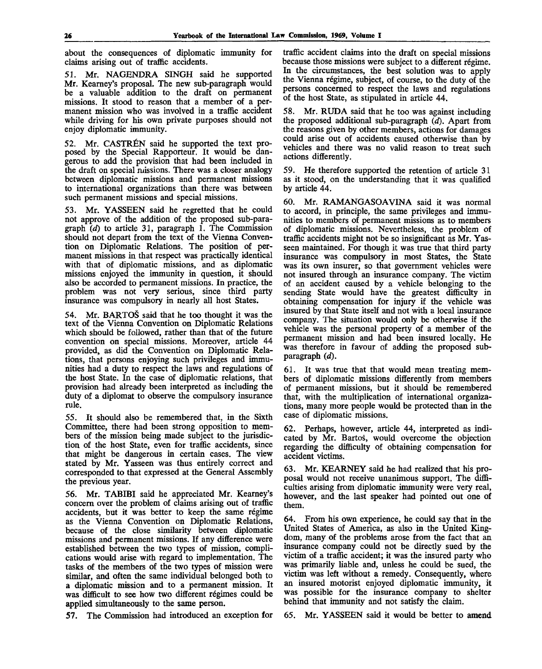about the consequences of diplomatic immunity for claims arising out of traffic accidents.

51. Mr. NAGENDRA SINGH said he supported Mr. Kearney's proposal. The new sub-paragraph would be a valuable addition to the draft on permanent missions. It stood to reason that a member of a permanent mission who was involved in a traffic accident while driving for his own private purposes should not enjoy diplomatic immunity.

52. Mr. CASTREN said he supported the text proposed by the Special Rapporteur. It would be dangerous to add the provision that had been included in the draft on special missions. There was a closer analogy between diplomatic missions and permanent missions to international organizations than there was between such permanent missions and special missions.

53. Mr. YASSEEN said he regretted that he could not approve of the addition of the proposed sub-paragraph *(d)* to article 31, paragraph 1. The Commission should not depart from the text of the Vienna Convention on Diplomatic Relations. The position of permanent missions in that respect was practically identical with that of diplomatic missions, and as diplomatic missions enjoyed the immunity in question, it should also be accorded to permanent missions. In practice, the problem was not very serious, since third party insurance was compulsory in nearly all host States.

54. Mr. BARTOS said that he too thought it was the text of the Vienna Convention on Diplomatic Relations which should be followed, rather than that of the future convention on special missions. Moreover, article 44 provided, as did the Convention on Diplomatic Relations, that persons enjoying such privileges and immunities had a duty to respect the laws and regulations of the host State. In the case of diplomatic relations, that provision had already been interpreted as including the duty of a diplomat to observe the compulsory insurance rule.

55. It should also be remembered that, in the Sixth Committee, there had been strong opposition to members of the mission being made subject to the jurisdiction of the host State, even for traffic accidents, since that might be dangerous in certain cases. The view stated by Mr. Yasseen was thus entirely correct and corresponded to that expressed at the General Assembly the previous year.

56. Mr. TABIBI said he appreciated Mr. Kearney's concern over the problem of claims arising out of traffic accidents, but it was better to keep the same regime as the Vienna Convention on Diplomatic Relations, because of the close similarity between diplomatic missions and permanent missions. If any difference were established between the two types of mission, complications would arise with regard to implementation. The tasks of the members of the two types of mission were similar, and often the same individual belonged both to a diplomatic mission and to a permanent mission. It was difficult to see how two different régimes could be applied simultaneously to the same person.

57. The Commission had introduced an exception for

traffic accident claims into the draft on special missions because those missions were subject to a different régime. In the circumstances, the best solution was to apply the Vienna régime, subject, of course, to the duty of the persons concerned to respect the laws and regulations of the host State, as stipulated in article 44.

58. Mr. RUDA said that he too was against including the proposed additional sub-paragraph *(d).* Apart from the reasons given by other members, actions for damages could arise out of accidents caused otherwise than by vehicles and there was no valid reason to treat such actions differently.

59. He therefore supported the retention of article 31 as it stood, on the understanding that it was qualified by article 44.

60. Mr. RAMANGASOAVINA said it was normal to accord, in principle, the same privileges and immunities to members of permanent missions as to members of diplomatic missions. Nevertheless, the problem of traffic accidents might not be so insignificant as Mr. Yasseen maintained. For though it was true that third party insurance was compulsory in most States, the State was its own insurer, so that government vehicles were not insured through an insurance company. The victim of an accident caused by a vehicle belonging to the sending State would have the greatest difficulty in obtaining compensation for injury if the vehicle was insured by that State itself and not with a local insurance company. The situation would only be otherwise if the vehicle was the personal property of a member of the permanent mission and had been insured locally. He was therefore in favour of adding the proposed subparagraph *(d).*

61. It was true that that would mean treating members of diplomatic missions differently from members of permanent missions, but it should be remembered that, with the multiplication of international organizations, many more people would be protected than in the case of diplomatic missions.

62. Perhaps, however, article 44, interpreted as indicated by Mr. Bartos, would overcome the objection regarding the difficulty of obtaining compensation for accident victims.

63. Mr. KEARNEY said he had realized that his proposal would not receive unanimous support. The difficulties arising from diplomatic immunity were very real, however, and the last speaker had pointed out one of them.

64. From his own experience, he could say that in the United States of America, as also in the United Kingdom, many of the problems arose from the fact that an insurance company could not be directly sued by the victim of a traffic accident; it was the insured party who was primarily liable and, unless he could be sued, the victim was left without a remedy. Consequently, where an insured motorist enjoyed diplomatic immunity, it was possible for the insurance company to shelter behind that immunity and not satisfy the claim.

65. Mr. YASSEEN said it would be better to amend